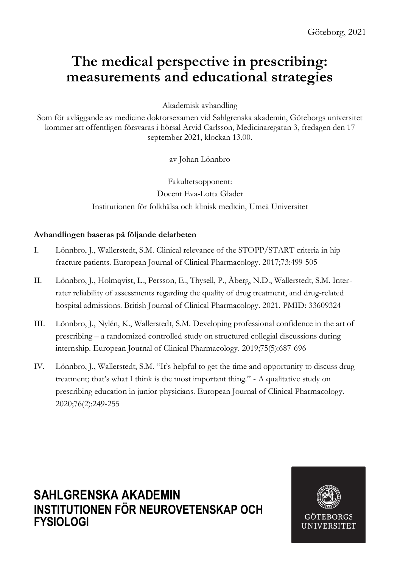# **The medical perspective in prescribing: measurements and educational strategies**

Akademisk avhandling

Som för avläggande av medicine doktorsexamen vid Sahlgrenska akademin, Göteborgs universitet kommer att offentligen försvaras i hörsal Arvid Carlsson, Medicinaregatan 3, fredagen den 17 september 2021, klockan 13.00.

av Johan Lönnbro

Fakultetsopponent: Docent Eva-Lotta Glader Institutionen för folkhälsa och klinisk medicin, Umeå Universitet

### **Avhandlingen baseras på följande delarbeten**

- I. Lönnbro, J., Wallerstedt, S.M. Clinical relevance of the STOPP/START criteria in hip fracture patients. European Journal of Clinical Pharmacology. 2017;73:499-505
- II. Lönnbro, J., Holmqvist, L., Persson, E., Thysell, P., Åberg, N.D., Wallerstedt, S.M. Interrater reliability of assessments regarding the quality of drug treatment, and drug-related hospital admissions. British Journal of Clinical Pharmacology. 2021. PMID: 33609324
- III. Lönnbro, J., Nylén, K., Wallerstedt, S.M. Developing professional confidence in the art of prescribing – a randomized controlled study on structured collegial discussions during internship. European Journal of Clinical Pharmacology. 2019;75(5):687-696
- IV. Lönnbro, J., Wallerstedt, S.M. "It's helpful to get the time and opportunity to discuss drug treatment; that's what I think is the most important thing." - A qualitative study on prescribing education in junior physicians. European Journal of Clinical Pharmacology. 2020;76(2):249-255

### **SAHLGRENSKA AKADEMIN INSTITUTIONEN FÖR NEUROVETENSKAP OCH FYSIOLOGI**